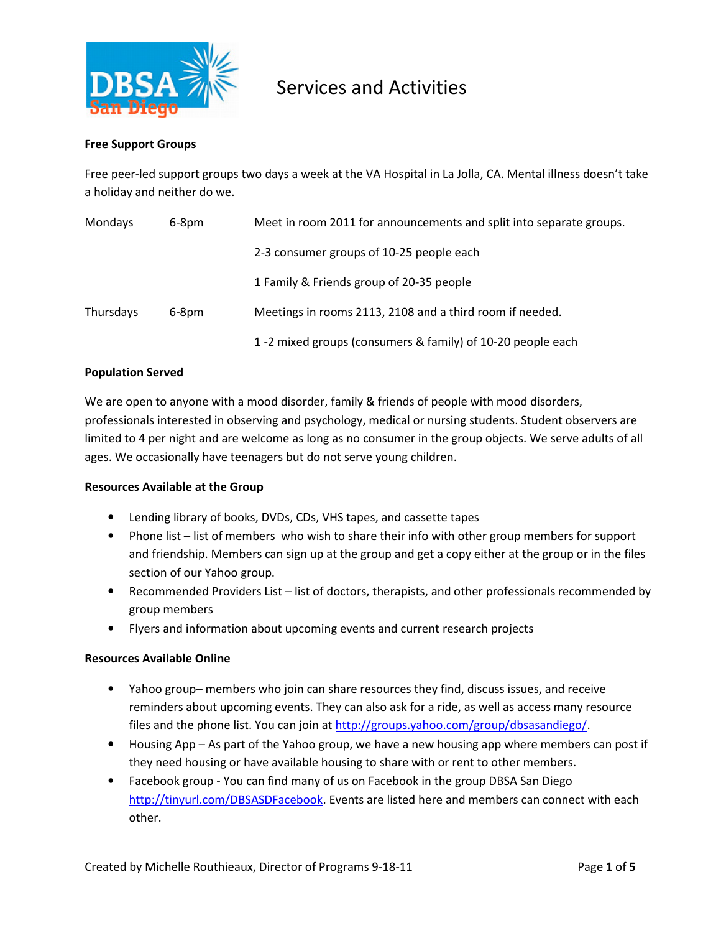

### Free Support Groups

Free peer-led support groups two days a week at the VA Hospital in La Jolla, CA. Mental illness doesn't take a holiday and neither do we.

| Mondays<br>$6-8pm$ |  | Meet in room 2011 for announcements and split into separate groups. |
|--------------------|--|---------------------------------------------------------------------|
|                    |  | 2-3 consumer groups of 10-25 people each                            |
|                    |  | 1 Family & Friends group of 20-35 people                            |
| Thursdays<br>6-8pm |  | Meetings in rooms 2113, 2108 and a third room if needed.            |
|                    |  | 1-2 mixed groups (consumers & family) of 10-20 people each          |

### Population Served

We are open to anyone with a mood disorder, family & friends of people with mood disorders, professionals interested in observing and psychology, medical or nursing students. Student observers are limited to 4 per night and are welcome as long as no consumer in the group objects. We serve adults of all ages. We occasionally have teenagers but do not serve young children.

#### Resources Available at the Group

- Lending library of books, DVDs, CDs, VHS tapes, and cassette tapes
- Phone list list of members who wish to share their info with other group members for support and friendship. Members can sign up at the group and get a copy either at the group or in the files section of our Yahoo group.
- Recommended Providers List list of doctors, therapists, and other professionals recommended by group members
- Flyers and information about upcoming events and current research projects

### Resources Available Online

- Yahoo group– members who join can share resources they find, discuss issues, and receive reminders about upcoming events. They can also ask for a ride, as well as access many resource files and the phone list. You can join at http://groups.yahoo.com/group/dbsasandiego/.
- Housing App As part of the Yahoo group, we have a new housing app where members can post if they need housing or have available housing to share with or rent to other members.
- Facebook group You can find many of us on Facebook in the group DBSA San Diego http://tinyurl.com/DBSASDFacebook. Events are listed here and members can connect with each other.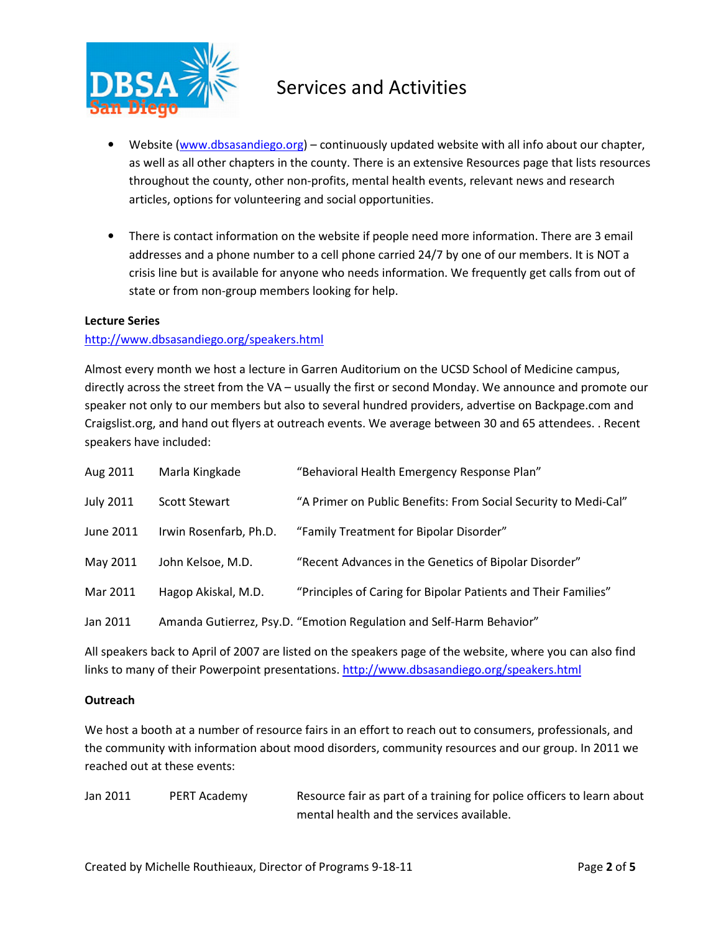

- Website (www.dbsasandiego.org) continuously updated website with all info about our chapter, as well as all other chapters in the county. There is an extensive Resources page that lists resources throughout the county, other non-profits, mental health events, relevant news and research articles, options for volunteering and social opportunities.
- There is contact information on the website if people need more information. There are 3 email addresses and a phone number to a cell phone carried 24/7 by one of our members. It is NOT a crisis line but is available for anyone who needs information. We frequently get calls from out of state or from non-group members looking for help.

### Lecture Series

### http://www.dbsasandiego.org/speakers.html

Almost every month we host a lecture in Garren Auditorium on the UCSD School of Medicine campus, directly across the street from the VA – usually the first or second Monday. We announce and promote our speaker not only to our members but also to several hundred providers, advertise on Backpage.com and Craigslist.org, and hand out flyers at outreach events. We average between 30 and 65 attendees. . Recent speakers have included:

| Aug 2011         | Marla Kingkade         | "Behavioral Health Emergency Response Plan"                          |
|------------------|------------------------|----------------------------------------------------------------------|
| <b>July 2011</b> | <b>Scott Stewart</b>   | "A Primer on Public Benefits: From Social Security to Medi-Cal"      |
| June 2011        | Irwin Rosenfarb, Ph.D. | "Family Treatment for Bipolar Disorder"                              |
| May 2011         | John Kelsoe, M.D.      | "Recent Advances in the Genetics of Bipolar Disorder"                |
| Mar 2011         | Hagop Akiskal, M.D.    | "Principles of Caring for Bipolar Patients and Their Families"       |
| Jan 2011         |                        | Amanda Gutierrez, Psy.D. "Emotion Regulation and Self-Harm Behavior" |

All speakers back to April of 2007 are listed on the speakers page of the website, where you can also find links to many of their Powerpoint presentations. http://www.dbsasandiego.org/speakers.html

### **Outreach**

We host a booth at a number of resource fairs in an effort to reach out to consumers, professionals, and the community with information about mood disorders, community resources and our group. In 2011 we reached out at these events:

| Jan 2011 | PERT Academy | Resource fair as part of a training for police officers to learn about |
|----------|--------------|------------------------------------------------------------------------|
|          |              | mental health and the services available.                              |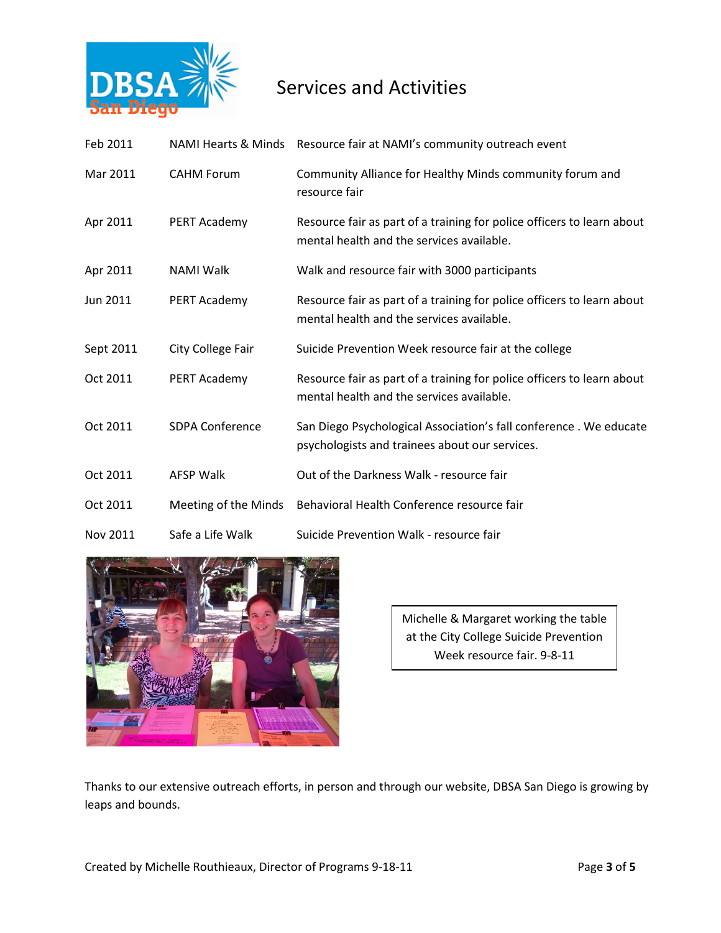

| Feb 2011  |                        | NAMI Hearts & Minds Resource fair at NAMI's community outreach event                                                |
|-----------|------------------------|---------------------------------------------------------------------------------------------------------------------|
| Mar 2011  | <b>CAHM Forum</b>      | Community Alliance for Healthy Minds community forum and<br>resource fair                                           |
| Apr 2011  | PERT Academy           | Resource fair as part of a training for police officers to learn about<br>mental health and the services available. |
| Apr 2011  | <b>NAMI Walk</b>       | Walk and resource fair with 3000 participants                                                                       |
| Jun 2011  | PERT Academy           | Resource fair as part of a training for police officers to learn about<br>mental health and the services available. |
| Sept 2011 | City College Fair      | Suicide Prevention Week resource fair at the college                                                                |
| Oct 2011  | PERT Academy           | Resource fair as part of a training for police officers to learn about<br>mental health and the services available. |
| Oct 2011  | <b>SDPA Conference</b> | San Diego Psychological Association's fall conference. We educate<br>psychologists and trainees about our services. |
| Oct 2011  | <b>AFSP Walk</b>       | Out of the Darkness Walk - resource fair                                                                            |
| Oct 2011  | Meeting of the Minds   | Behavioral Health Conference resource fair                                                                          |
| Nov 2011  | Safe a Life Walk       | Suicide Prevention Walk - resource fair                                                                             |



Michelle & Margaret working the table at the City College Suicide Prevention Week resource fair. 9-8-11

Thanks to our extensive outreach efforts, in person and through our website, DBSA San Diego is growing by leaps and bounds.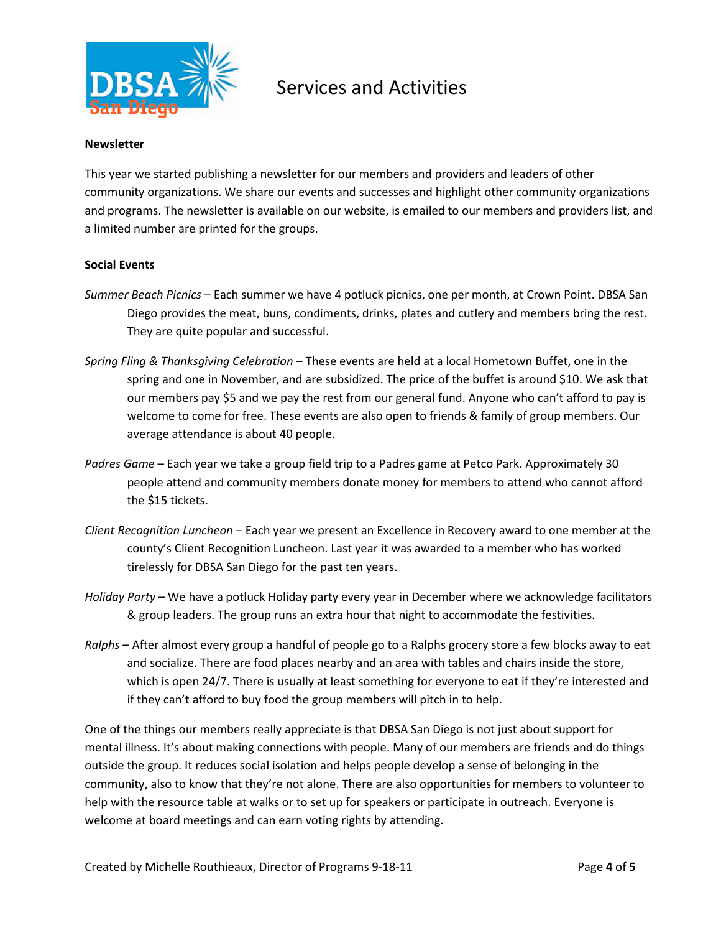

### Newsletter

This year we started publishing a newsletter for our members and providers and leaders of other community organizations. We share our events and successes and highlight other community organizations and programs. The newsletter is available on our website, is emailed to our members and providers list, and a limited number are printed for the groups.

### Social Events

- Summer Beach Picnics Each summer we have 4 potluck picnics, one per month, at Crown Point. DBSA San Diego provides the meat, buns, condiments, drinks, plates and cutlery and members bring the rest. They are quite popular and successful.
- Spring Fling & Thanksgiving Celebration These events are held at a local Hometown Buffet, one in the spring and one in November, and are subsidized. The price of the buffet is around \$10. We ask that our members pay \$5 and we pay the rest from our general fund. Anyone who can't afford to pay is welcome to come for free. These events are also open to friends & family of group members. Our average attendance is about 40 people.
- Padres Game Each year we take a group field trip to a Padres game at Petco Park. Approximately 30 people attend and community members donate money for members to attend who cannot afford the \$15 tickets.
- Client Recognition Luncheon Each year we present an Excellence in Recovery award to one member at the county's Client Recognition Luncheon. Last year it was awarded to a member who has worked tirelessly for DBSA San Diego for the past ten years.
- Holiday Party We have a potluck Holiday party every year in December where we acknowledge facilitators & group leaders. The group runs an extra hour that night to accommodate the festivities.
- Ralphs After almost every group a handful of people go to a Ralphs grocery store a few blocks away to eat and socialize. There are food places nearby and an area with tables and chairs inside the store, which is open 24/7. There is usually at least something for everyone to eat if they're interested and if they can't afford to buy food the group members will pitch in to help.

One of the things our members really appreciate is that DBSA San Diego is not just about support for mental illness. It's about making connections with people. Many of our members are friends and do things outside the group. It reduces social isolation and helps people develop a sense of belonging in the community, also to know that they're not alone. There are also opportunities for members to volunteer to help with the resource table at walks or to set up for speakers or participate in outreach. Everyone is welcome at board meetings and can earn voting rights by attending.